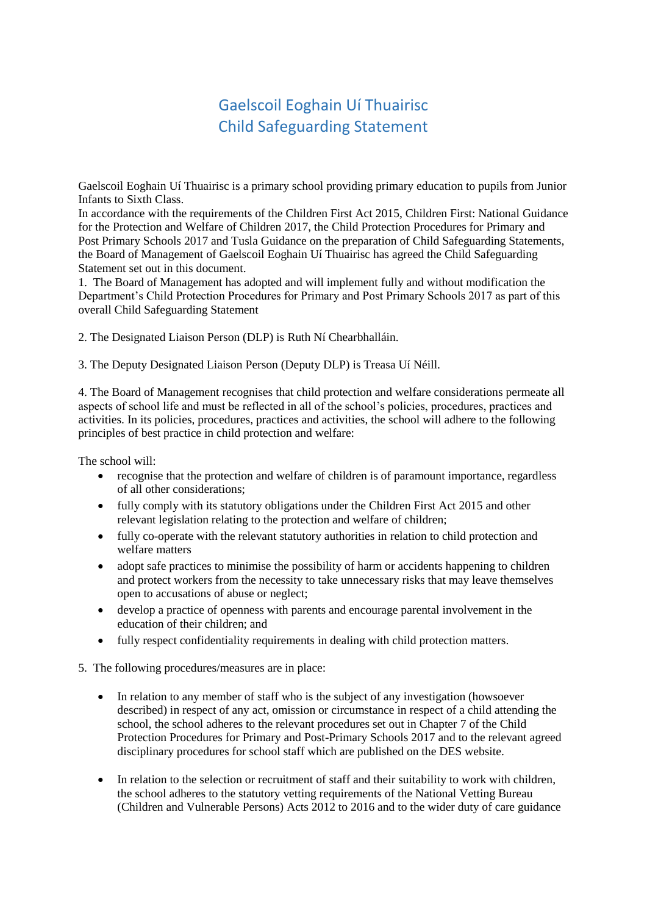## Gaelscoil Eoghain Uí Thuairisc Child Safeguarding Statement

Gaelscoil Eoghain Uí Thuairisc is a primary school providing primary education to pupils from Junior Infants to Sixth Class.

In accordance with the requirements of the Children First Act 2015, Children First: National Guidance for the Protection and Welfare of Children 2017, the Child Protection Procedures for Primary and Post Primary Schools 2017 and Tusla Guidance on the preparation of Child Safeguarding Statements, the Board of Management of Gaelscoil Eoghain Uí Thuairisc has agreed the Child Safeguarding Statement set out in this document.

1. The Board of Management has adopted and will implement fully and without modification the Department's Child Protection Procedures for Primary and Post Primary Schools 2017 as part of this overall Child Safeguarding Statement

2. The Designated Liaison Person (DLP) is Ruth Ní Chearbhalláin.

3. The Deputy Designated Liaison Person (Deputy DLP) is Treasa Uí Néill.

4. The Board of Management recognises that child protection and welfare considerations permeate all aspects of school life and must be reflected in all of the school's policies, procedures, practices and activities. In its policies, procedures, practices and activities, the school will adhere to the following principles of best practice in child protection and welfare:

The school will:

- recognise that the protection and welfare of children is of paramount importance, regardless of all other considerations;
- fully comply with its statutory obligations under the Children First Act 2015 and other relevant legislation relating to the protection and welfare of children;
- fully co-operate with the relevant statutory authorities in relation to child protection and welfare matters
- adopt safe practices to minimise the possibility of harm or accidents happening to children and protect workers from the necessity to take unnecessary risks that may leave themselves open to accusations of abuse or neglect;
- develop a practice of openness with parents and encourage parental involvement in the education of their children; and
- fully respect confidentiality requirements in dealing with child protection matters.
- 5. The following procedures/measures are in place:
	- In relation to any member of staff who is the subject of any investigation (howsoever described) in respect of any act, omission or circumstance in respect of a child attending the school, the school adheres to the relevant procedures set out in Chapter 7 of the Child Protection Procedures for Primary and Post-Primary Schools 2017 and to the relevant agreed disciplinary procedures for school staff which are published on the DES website.
	- In relation to the selection or recruitment of staff and their suitability to work with children, the school adheres to the statutory vetting requirements of the National Vetting Bureau (Children and Vulnerable Persons) Acts 2012 to 2016 and to the wider duty of care guidance